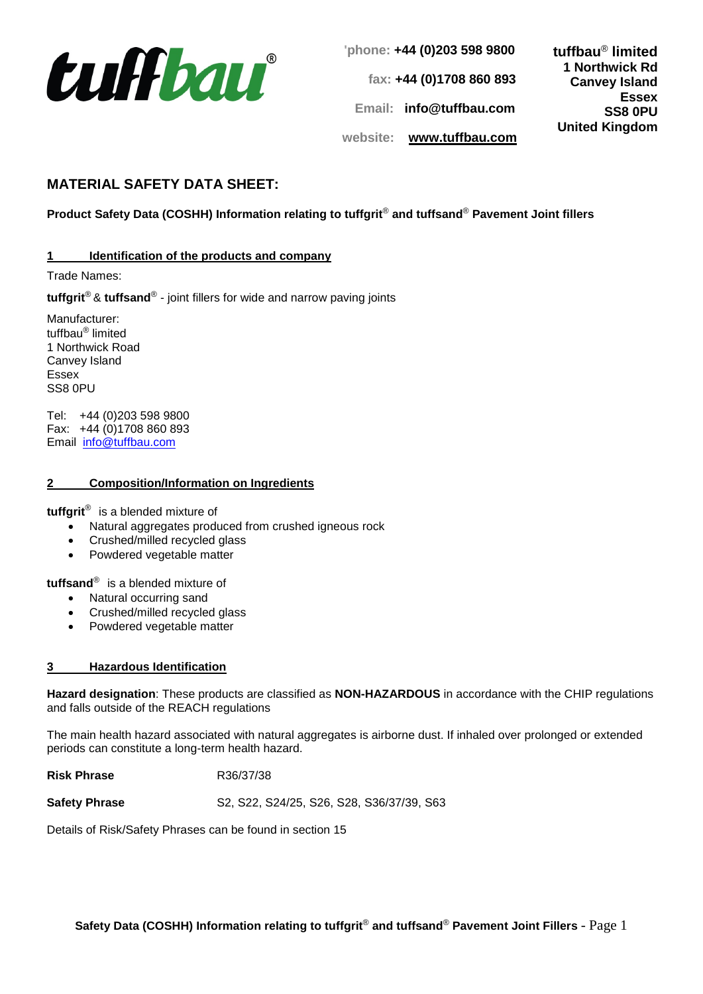

**'phone: +44 (0)203 598 9800 fax: +44 (0)1708 860 893 Email: info@tuffbau.com website: www.tuffbau.com tuffbau**® **limited 1 Northwick Rd Canvey Island Essex SS8 0PU United Kingdom**

# **MATERIAL SAFETY DATA SHEET:**

## **Product Safety Data (COSHH) Information relating to tuffgrit**® **and tuffsand**® **Pavement Joint fillers**

### **1 Identification of the products and company**

Trade Names:

**tuffgrit**® & **tuffsand**® - joint fillers for wide and narrow paving joints

Manufacturer: tuffbau® limited 1 Northwick Road Canvey Island Essex SS8 0PU

Tel: +44 (0)203 598 9800 Fax: +44 (0)1708 860 893 Email [info@tuffbau.com](mailto:info@tuffbau.com)

#### **2 Composition/Information on Ingredients**

**tuffgrit**® is a blended mixture of

- Natural aggregates produced from crushed igneous rock
- Crushed/milled recycled glass
- Powdered vegetable matter

**tuffsand**® is a blended mixture of

- Natural occurring sand
- Crushed/milled recycled glass
- Powdered vegetable matter

#### **3 Hazardous Identification**

**Hazard designation**: These products are classified as **NON-HAZARDOUS** in accordance with the CHIP regulations and falls outside of the REACH regulations

The main health hazard associated with natural aggregates is airborne dust. If inhaled over prolonged or extended periods can constitute a long-term health hazard.

**Risk Phrase** R36/37/38

**Safety Phrase** S2, S22, S24/25, S26, S28, S36/37/39, S63

Details of Risk/Safety Phrases can be found in section 15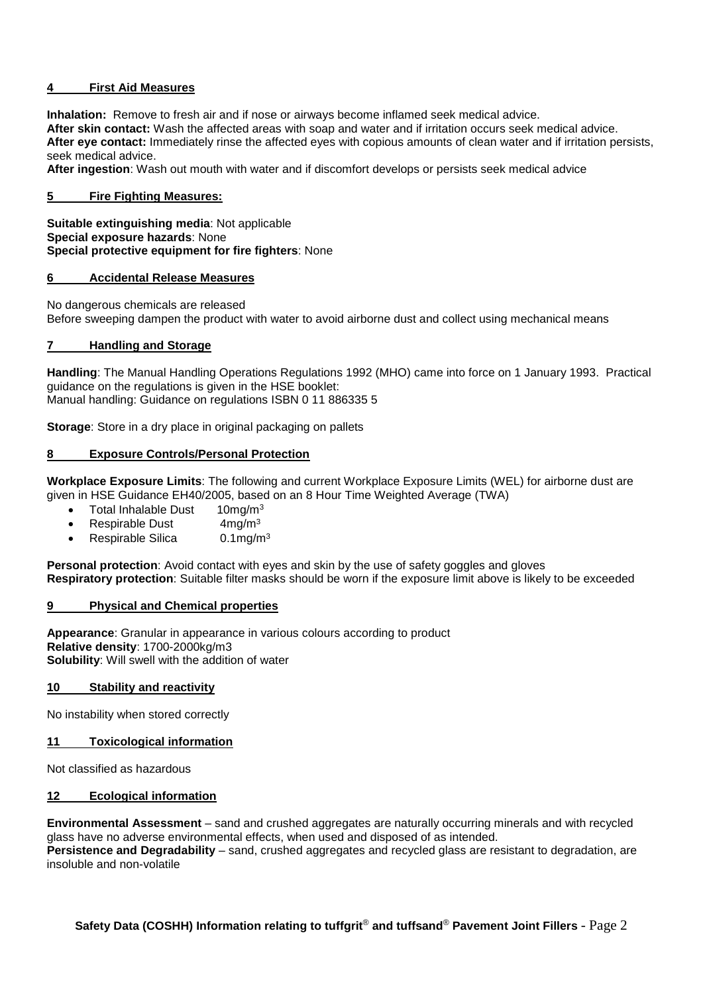## **4 First Aid Measures**

**Inhalation:** Remove to fresh air and if nose or airways become inflamed seek medical advice. **After skin contact:** Wash the affected areas with soap and water and if irritation occurs seek medical advice. **After eye contact:** Immediately rinse the affected eyes with copious amounts of clean water and if irritation persists, seek medical advice.

**After ingestion**: Wash out mouth with water and if discomfort develops or persists seek medical advice

## **5 Fire Fighting Measures:**

**Suitable extinguishing media**: Not applicable **Special exposure hazards**: None **Special protective equipment for fire fighters**: None

#### **6 Accidental Release Measures**

No dangerous chemicals are released

Before sweeping dampen the product with water to avoid airborne dust and collect using mechanical means

#### **7 Handling and Storage**

**Handling**: The Manual Handling Operations Regulations 1992 (MHO) came into force on 1 January 1993. Practical guidance on the regulations is given in the HSE booklet: Manual handling: Guidance on regulations ISBN 0 11 886335 5

**Storage**: Store in a dry place in original packaging on pallets

#### **8 Exposure Controls/Personal Protection**

**Workplace Exposure Limits**: The following and current Workplace Exposure Limits (WEL) for airborne dust are given in HSE Guidance EH40/2005, based on an 8 Hour Time Weighted Average (TWA)

- Total Inhalable Dust 10mg/m<sup>3</sup>
- Respirable Dust  $4mg/m<sup>3</sup>$
- Respirable Silica  $0.1 \text{mg/m}^3$

**Personal protection:** Avoid contact with eyes and skin by the use of safety goggles and gloves **Respiratory protection**: Suitable filter masks should be worn if the exposure limit above is likely to be exceeded

#### **9 Physical and Chemical properties**

**Appearance**: Granular in appearance in various colours according to product **Relative density**: 1700-2000kg/m3 **Solubility**: Will swell with the addition of water

#### **10 Stability and reactivity**

No instability when stored correctly

#### **11 Toxicological information**

Not classified as hazardous

#### **12 Ecological information**

**Environmental Assessment** – sand and crushed aggregates are naturally occurring minerals and with recycled glass have no adverse environmental effects, when used and disposed of as intended.

**Persistence and Degradability** – sand, crushed aggregates and recycled glass are resistant to degradation, are insoluble and non-volatile